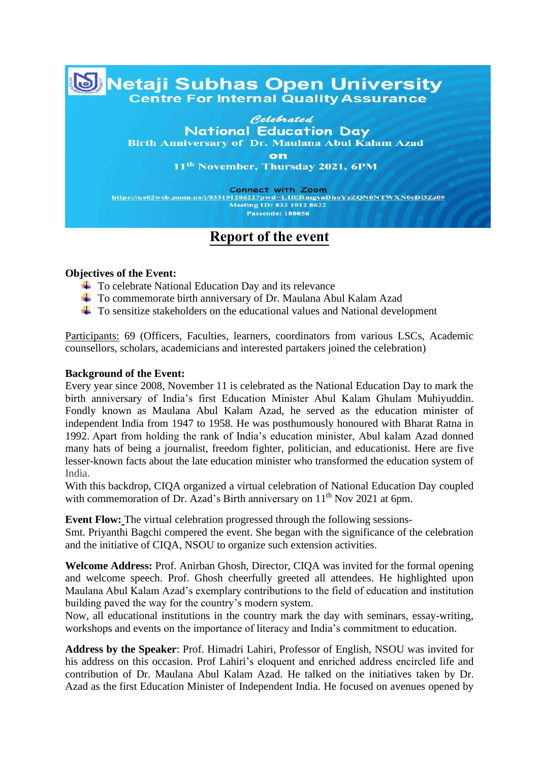## **Metaji Subhas Open University Centre For Internal Quality Assurance**

Celebrated **National Education Day Birth Anniversary of Dr. Maulana Abul Kalam Azad** 

> on 11<sup>th</sup> November, Thursday 2021, 6PM

Connect with Zoom<br>https://us02web.zoom.us/j/83319128622?pwd=L1IERmgyaDhoYzZQN0NTWXN0cDI3Zz09 Meeting ID: 833 1912 8622 **Passcode: 180056** 

## **Report of the event**

## **Objectives of the Event:**

- $\overline{\phantom{a}}$  To celebrate National Education Day and its relevance
- To commemorate birth anniversary of Dr. Maulana Abul Kalam Azad
- To sensitize stakeholders on the educational values and National development

Participants: 69 (Officers, Faculties, learners, coordinators from various LSCs, Academic counsellors, scholars, academicians and interested partakers joined the celebration)

## **Background of the Event:**

Every year since 2008, November 11 is celebrated as the National Education Day to mark the birth anniversary of India's first Education Minister Abul Kalam Ghulam Muhiyuddin. Fondly known as Maulana Abul Kalam Azad, he served as the education minister of independent India from 1947 to 1958. He was posthumously honoured with Bharat Ratna in 1992. Apart from holding the rank of India's education minister, Abul kalam Azad donned many hats of being a journalist, freedom fighter, politician, and educationist. Here are five lesser-known facts about the late education minister who transformed the education system of India.

With this backdrop, CIQA organized a virtual celebration of National Education Day coupled with commemoration of Dr. Azad's Birth anniversary on 11<sup>th</sup> Nov 2021 at 6pm.

**Event Flow:** The virtual celebration progressed through the following sessions-

Smt. Priyanthi Bagchi compered the event. She began with the significance of the celebration and the initiative of CIQA, NSOU to organize such extension activities.

**Welcome Address:** Prof. Anirban Ghosh, Director, CIQA was invited for the formal opening and welcome speech. Prof. Ghosh cheerfully greeted all attendees. He highlighted upon Maulana Abul Kalam Azad's exemplary contributions to the field of education and institution building paved the way for the country's modern system.

Now, all educational institutions in the country mark the day with seminars, essay-writing, workshops and events on the importance of literacy and India's commitment to education.

**Address by the Speaker**: Prof. Himadri Lahiri, Professor of English, NSOU was invited for his address on this occasion. Prof Lahiri's eloquent and enriched address encircled life and contribution of Dr. Maulana Abul Kalam Azad. He talked on the initiatives taken by Dr. Azad as the first Education Minister of Independent India. He focused on avenues opened by